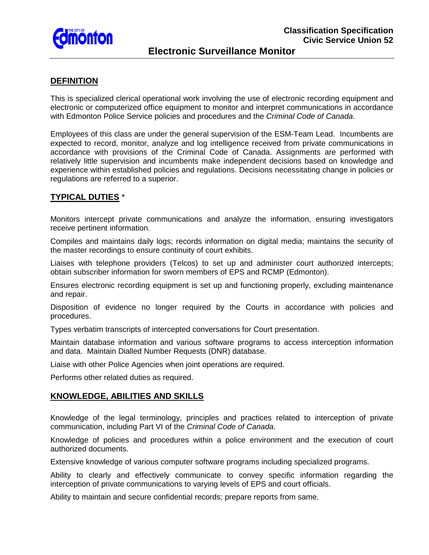

# **DEFINITION**

This is specialized clerical operational work involving the use of electronic recording equipment and electronic or computerized office equipment to monitor and interpret communications in accordance with Edmonton Police Service policies and procedures and the *Criminal Code of Canada*.

Employees of this class are under the general supervision of the ESM-Team Lead. Incumbents are expected to record, monitor, analyze and log intelligence received from private communications in accordance with provisions of the Criminal Code of Canada. Assignments are performed with relatively little supervision and incumbents make independent decisions based on knowledge and experience within established policies and regulations. Decisions necessitating change in policies or regulations are referred to a superior.

## **TYPICAL DUTIES** \*

Monitors intercept private communications and analyze the information, ensuring investigators receive pertinent information.

Compiles and maintains daily logs; records information on digital media; maintains the security of the master recordings to ensure continuity of court exhibits.

Liaises with telephone providers (Telcos) to set up and administer court authorized intercepts; obtain subscriber information for sworn members of EPS and RCMP (Edmonton).

Ensures electronic recording equipment is set up and functioning properly, excluding maintenance and repair.

Disposition of evidence no longer required by the Courts in accordance with policies and procedures.

Types verbatim transcripts of intercepted conversations for Court presentation.

Maintain database information and various software programs to access interception information and data. Maintain Dialled Number Requests (DNR) database.

Liaise with other Police Agencies when joint operations are required.

Performs other related duties as required.

## **KNOWLEDGE, ABILITIES AND SKILLS**

Knowledge of the legal terminology, principles and practices related to interception of private communication, including Part VI of the *Criminal Code of Canada*.

Knowledge of policies and procedures within a police environment and the execution of court authorized documents.

Extensive knowledge of various computer software programs including specialized programs.

Ability to clearly and effectively communicate to convey specific information regarding the interception of private communications to varying levels of EPS and court officials.

Ability to maintain and secure confidential records; prepare reports from same.